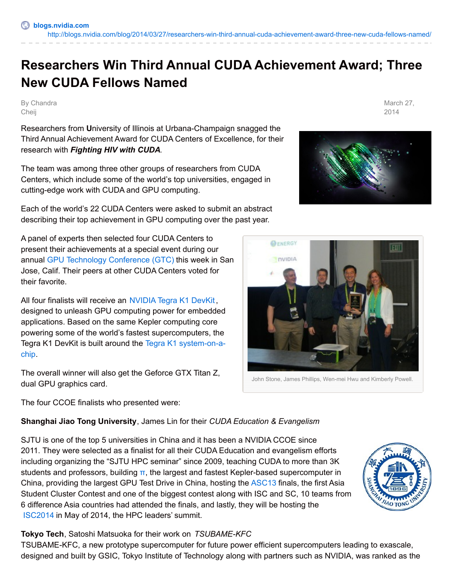# **Researchers Win Third Annual CUDA Achievement Award; Three New CUDA Fellows Named**

By Chandra Cheij

Researchers from **U**niversity of Illinois at Urbana-Champaign snagged the Third Annual Achievement Award for CUDA Centers of Excellence, for their research with *Fighting HIV with CUDA.*

The team was among three other groups of researchers from CUDA Centers, which include some of the world's top universities, engaged in cutting-edge work with CUDA and GPU computing.

Each of the world's 22 CUDA Centers were asked to submit an abstract describing their top achievement in GPU computing over the past year.

A panel of experts then selected four CUDA Centers to present their achievements at a special event during our annual GPU Technology [Conference](http://www.gputechconf.com/page/home.html) (GTC) this week in San Jose, Calif. Their peers at other CUDA Centers voted for their favorite.

All four finalists will receive an [NVIDIA](https://developer.nvidia.com/jetson-tk1) Tegra K1 DevKit, designed to unleash GPU computing power for embedded applications. Based on the same Kepler computing core powering some of the world's fastest supercomputers, the Tegra K1 DevKit is built around the Tegra K1 [system-on-a](http://www.nvidia.com/object/tegra-k1.html)chip.

The overall winner will also get the Geforce GTX Titan Z, dual GPU graphics card.

The four CCOE finalists who presented were:

## **Shanghai Jiao Tong University**, James Lin for their *CUDA Education & Evangelism*

SJTU is one of the top 5 universities in China and it has been a NVIDIA CCOE since 2011. They were selected as a finalist for all their CUDA Education and evangelism efforts including organizing the "SJTU HPC seminar" since 2009, teaching CUDA to more than 3K students and professors, building  $\pi$ , the largest and fastest Kepler-based supercomputer in China, providing the largest GPU Test Drive in China, hosting the [ASC13](http://www.asc-events.org/) finals, the first Asia Student Cluster Contest and one of the biggest contest along with ISC and SC, 10 teams from 6 difference Asia countries had attended the finals, and lastly, they will be hosting the [ISC2014](http://icsc2014.sjtu.edu.cn/) in May of 2014, the HPC leaders' summit.

#### **Tokyo Tech**, Satoshi Matsuoka for their work on *TSUBAME-KFC*

TSUBAME-KFC, a new prototype supercomputer for future power efficient supercomputers leading to exascale, designed and built by GSIC, Tokyo Institute of Technology along with partners such as NVIDIA, was ranked as the

## March 27. 2014





**AO TONG** 

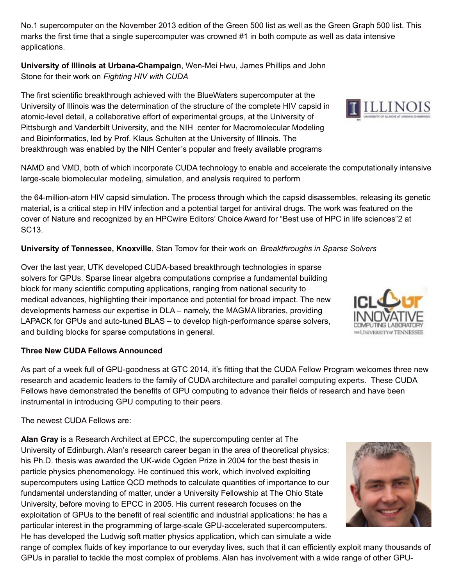No.1 supercomputer on the November 2013 edition of the Green 500 list as well as the Green Graph 500 list. This marks the first time that a single supercomputer was crowned #1 in both compute as well as data intensive applications.

**University of Illinois at Urbana-Champaign**, Wen-Mei Hwu, James Phillips and John Stone for their work on *Fighting HIV with CUDA*

The first scientific breakthrough achieved with the BlueWaters supercomputer at the University of Illinois was the determination of the structure of the complete HIV capsid in atomic-level detail, a collaborative effort of experimental groups, at the University of Pittsburgh and Vanderbilt University, and the NIH center for Macromolecular Modeling and Bioinformatics, led by Prof. Klaus Schulten at the University of Illinois. The breakthrough was enabled by the NIH Center's popular and freely available programs

NAMD and VMD, both of which incorporate CUDA technology to enable and accelerate the computationally intensive large-scale biomolecular modeling, simulation, and analysis required to perform

the 64-million-atom HIV capsid simulation. The process through which the capsid disassembles, releasing its genetic material, is a critical step in HIV infection and a potential target for antiviral drugs. The work was featured on the cover of Nature and recognized by an HPCwire Editors' Choice Award for "Best use of HPC in life sciences"2 at SC13.

### **University of Tennessee, Knoxville**, Stan Tomov for their work on *Breakthroughs in Sparse Solvers*

Over the last year, UTK developed CUDA-based breakthrough technologies in sparse solvers for GPUs. Sparse linear algebra computations comprise a fundamental building block for many scientific computing applications, ranging from national security to medical advances, highlighting their importance and potential for broad impact. The new developments harness our expertise in DLA – namely, the MAGMA libraries, providing LAPACK for GPUs and auto-tuned BLAS – to develop high-performance sparse solvers, and building blocks for sparse computations in general.

#### **Three New CUDA Fellows Announced**

As part of a week full of GPU-goodness at GTC 2014, it's fitting that the CUDA Fellow Program welcomes three new research and academic leaders to the family of CUDA architecture and parallel computing experts. These CUDA Fellows have demonstrated the benefits of GPU computing to advance their fields of research and have been instrumental in introducing GPU computing to their peers.

The newest CUDA Fellows are:

**Alan Gray** is a Research Architect at EPCC, the supercomputing center at The University of Edinburgh. Alan's research career began in the area of theoretical physics: his Ph.D. thesis was awarded the UK-wide Ogden Prize in 2004 for the best thesis in particle physics phenomenology. He continued this work, which involved exploiting supercomputers using Lattice QCD methods to calculate quantities of importance to our fundamental understanding of matter, under a University Fellowship at The Ohio State University, before moving to EPCC in 2005. His current research focuses on the exploitation of GPUs to the benefit of real scientific and industrial applications: he has a particular interest in the programming of large-scale GPU-accelerated supercomputers. He has developed the Ludwig soft matter physics application, which can simulate a wide

range of complex fluids of key importance to our everyday lives, such that it can efficiently exploit many thousands of GPUs in parallel to tackle the most complex of problems. Alan has involvement with a wide range of other GPU-